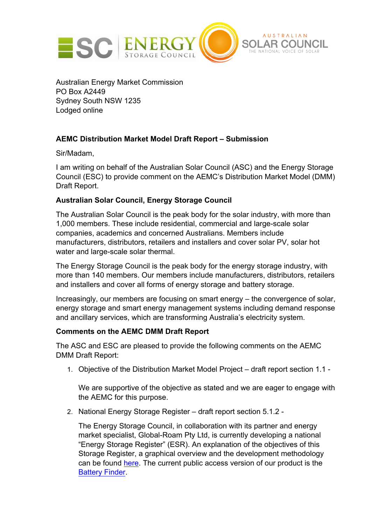

Australian Energy Market Commission PO Box A2449 Sydney South NSW 1235 Lodged online

# **AEMC Distribution Market Model Draft Report – Submission**

Sir/Madam,

I am writing on behalf of the Australian Solar Council (ASC) and the Energy Storage Council (ESC) to provide comment on the AEMC's Distribution Market Model (DMM) Draft Report.

## **Australian Solar Council, Energy Storage Council**

The Australian Solar Council is the peak body for the solar industry, with more than 1,000 members. These include residential, commercial and large-scale solar companies, academics and concerned Australians. Members include manufacturers, distributors, retailers and installers and cover solar PV, solar hot water and large-scale solar thermal.

The Energy Storage Council is the peak body for the energy storage industry, with more than 140 members. Our members include manufacturers, distributors, retailers and installers and cover all forms of energy storage and battery storage.

Increasingly, our members are focusing on smart energy – the convergence of solar, energy storage and smart energy management systems including demand response and ancillary services, which are transforming Australia's electricity system.

## **Comments on the AEMC DMM Draft Report**

The ASC and ESC are pleased to provide the following comments on the AEMC DMM Draft Report:

1. Objective of the Distribution Market Model Project – draft report section 1.1 -

We are supportive of the objective as stated and we are eager to engage with the AEMC for this purpose.

2. National Energy Storage Register – draft report section 5.1.2 -

The Energy Storage Council, in collaboration with its partner and energy market specialist, Global-Roam Pty Ltd, is currently developing a national "Energy Storage Register" (ESR). An explanation of the objectives of this Storage Register, a graphical overview and the development methodology can be found here. The current public access version of our product is the Battery Finder.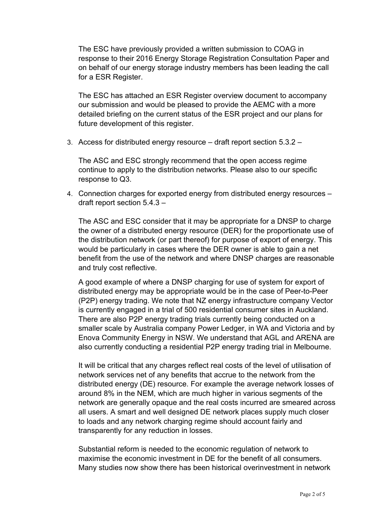The ESC have previously provided a written submission to COAG in response to their 2016 Energy Storage Registration Consultation Paper and on behalf of our energy storage industry members has been leading the call for a ESR Register.

The ESC has attached an ESR Register overview document to accompany our submission and would be pleased to provide the AEMC with a more detailed briefing on the current status of the ESR project and our plans for future development of this register.

3. Access for distributed energy resource – draft report section 5.3.2 –

The ASC and ESC strongly recommend that the open access regime continue to apply to the distribution networks. Please also to our specific response to Q3.

4. Connection charges for exported energy from distributed energy resources – draft report section 5.4.3 –

The ASC and ESC consider that it may be appropriate for a DNSP to charge the owner of a distributed energy resource (DER) for the proportionate use of the distribution network (or part thereof) for purpose of export of energy. This would be particularly in cases where the DER owner is able to gain a net benefit from the use of the network and where DNSP charges are reasonable and truly cost reflective.

A good example of where a DNSP charging for use of system for export of distributed energy may be appropriate would be in the case of Peer-to-Peer (P2P) energy trading. We note that NZ energy infrastructure company Vector is currently engaged in a trial of 500 residential consumer sites in Auckland. There are also P2P energy trading trials currently being conducted on a smaller scale by Australia company Power Ledger, in WA and Victoria and by Enova Community Energy in NSW. We understand that AGL and ARENA are also currently conducting a residential P2P energy trading trial in Melbourne.

It will be critical that any charges reflect real costs of the level of utilisation of network services net of any benefits that accrue to the network from the distributed energy (DE) resource. For example the average network losses of around 8% in the NEM, which are much higher in various segments of the network are generally opaque and the real costs incurred are smeared across all users. A smart and well designed DE network places supply much closer to loads and any network charging regime should account fairly and transparently for any reduction in losses.

Substantial reform is needed to the economic regulation of network to maximise the economic investment in DE for the benefit of all consumers. Many studies now show there has been historical overinvestment in network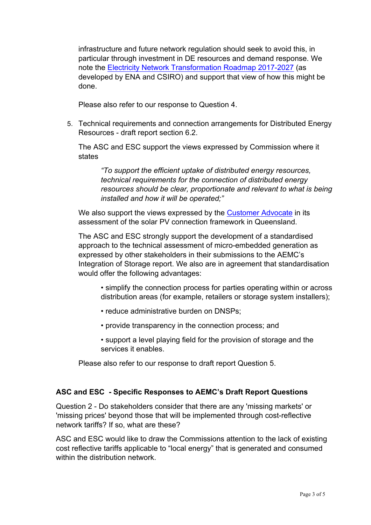infrastructure and future network regulation should seek to avoid this, in particular through investment in DE resources and demand response. We note the Electricity Network Transformation Roadmap 2017-2027 (as developed by ENA and CSIRO) and support that view of how this might be done.

Please also refer to our response to Question 4.

5. Technical requirements and connection arrangements for Distributed Energy Resources - draft report section 6.2.

The ASC and ESC support the views expressed by Commission where it states

*"To support the efficient uptake of distributed energy resources, technical requirements for the connection of distributed energy resources should be clear, proportionate and relevant to what is being installed and how it will be operated;"*

We also support the views expressed by the Customer Advocate in its assessment of the solar PV connection framework in Queensland.

The ASC and ESC strongly support the development of a standardised approach to the technical assessment of micro-embedded generation as expressed by other stakeholders in their submissions to the AEMC's Integration of Storage report. We also are in agreement that standardisation would offer the following advantages:

• simplify the connection process for parties operating within or across distribution areas (for example, retailers or storage system installers);

- reduce administrative burden on DNSPs;
- provide transparency in the connection process; and
- support a level playing field for the provision of storage and the services it enables.

Please also refer to our response to draft report Question 5.

## **ASC and ESC - Specific Responses to AEMC's Draft Report Questions**

Question 2 - Do stakeholders consider that there are any 'missing markets' or 'missing prices' beyond those that will be implemented through cost-reflective network tariffs? If so, what are these?

ASC and ESC would like to draw the Commissions attention to the lack of existing cost reflective tariffs applicable to "local energy" that is generated and consumed within the distribution network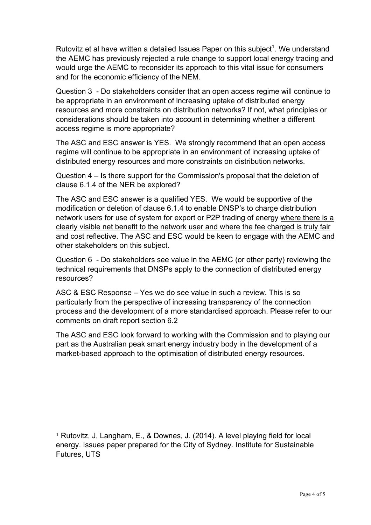Rutovitz et al have written a detailed Issues Paper on this subject<sup>1</sup>. We understand the AEMC has previously rejected a rule change to support local energy trading and would urge the AEMC to reconsider its approach to this vital issue for consumers and for the economic efficiency of the NEM.

Question 3 - Do stakeholders consider that an open access regime will continue to be appropriate in an environment of increasing uptake of distributed energy resources and more constraints on distribution networks? If not, what principles or considerations should be taken into account in determining whether a different access regime is more appropriate?

The ASC and ESC answer is YES. We strongly recommend that an open access regime will continue to be appropriate in an environment of increasing uptake of distributed energy resources and more constraints on distribution networks.

Question 4 – Is there support for the Commission's proposal that the deletion of clause 6.1.4 of the NER be explored?

The ASC and ESC answer is a qualified YES. We would be supportive of the modification or deletion of clause 6.1.4 to enable DNSP's to charge distribution network users for use of system for export or P2P trading of energy where there is a clearly visible net benefit to the network user and where the fee charged is truly fair and cost reflective. The ASC and ESC would be keen to engage with the AEMC and other stakeholders on this subject.

Question 6 - Do stakeholders see value in the AEMC (or other party) reviewing the technical requirements that DNSPs apply to the connection of distributed energy resources?

ASC & ESC Response – Yes we do see value in such a review. This is so particularly from the perspective of increasing transparency of the connection process and the development of a more standardised approach. Please refer to our comments on draft report section 6.2

The ASC and ESC look forward to working with the Commission and to playing our part as the Australian peak smart energy industry body in the development of a market-based approach to the optimisation of distributed energy resources.

1

<sup>1</sup> Rutovitz, J, Langham, E., & Downes, J. (2014). A level playing field for local energy. Issues paper prepared for the City of Sydney. Institute for Sustainable Futures, UTS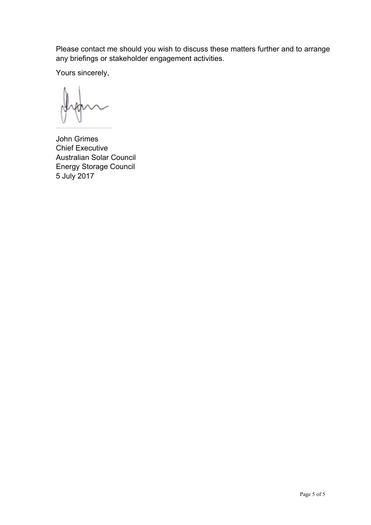Please contact me should you wish to discuss these matters further and to arrange any briefings or stakeholder engagement activities.

Yours sincerely,

John Grimes Chief Executive Australian Solar Council Energy Storage Council 5 July 2017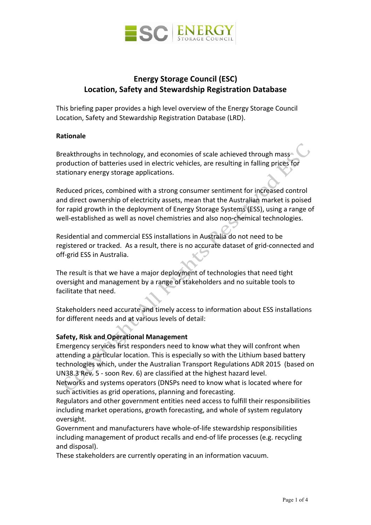

# **Energy Storage Council (ESC) Location, Safety and Stewardship Registration Database**

This briefing paper provides a high level overview of the Energy Storage Council Location, Safety and Stewardship Registration Database (LRD).

## **Rationale**

Breakthroughs in technology, and economies of scale achieved through mass production of batteries used in electric vehicles, are resulting in falling prices for stationary energy storage applications.

Reduced prices, combined with a strong consumer sentiment for increased control and direct ownership of electricity assets, mean that the Australian market is poised for rapid growth in the deployment of Energy Storage Systems (ESS), using a range of well-established as well as novel chemistries and also non-chemical technologies.

Residential and commercial ESS installations in Australia do not need to be registered or tracked. As a result, there is no accurate dataset of grid-connected and off-grid ESS in Australia.

The result is that we have a major deployment of technologies that need tight oversight and management by a range of stakeholders and no suitable tools to facilitate that need.

Stakeholders need accurate and timely access to information about ESS installations for different needs and at various levels of detail:

## **Safety, Risk and Operational Management**

Emergency services first responders need to know what they will confront when attending a particular location. This is especially so with the Lithium based battery technologies which, under the Australian Transport Regulations ADR 2015 (based on UN38.3 Rev. 5 - soon Rev. 6) are classified at the highest hazard level.

Networks and systems operators (DNSPs need to know what is located where for such activities as grid operations, planning and forecasting.

Regulators and other government entities need access to fulfill their responsibilities including market operations, growth forecasting, and whole of system regulatory oversight.

Government and manufacturers have whole-of-life stewardship responsibilities including management of product recalls and end-of life processes (e.g. recycling and disposal).

These stakeholders are currently operating in an information vacuum.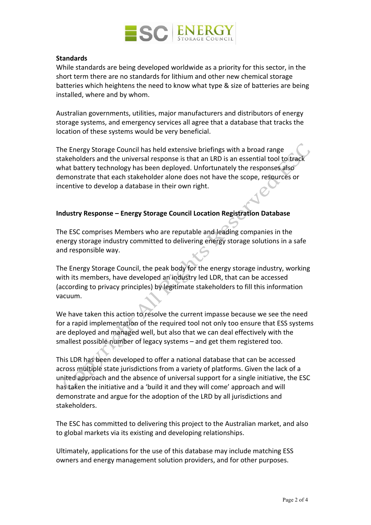

#### **Standards**

While standards are being developed worldwide as a priority for this sector, in the short term there are no standards for lithium and other new chemical storage batteries which heightens the need to know what type & size of batteries are being installed, where and by whom.

Australian governments, utilities, major manufacturers and distributors of energy storage systems, and emergency services all agree that a database that tracks the location of these systems would be very beneficial.

The Energy Storage Council has held extensive briefings with a broad range stakeholders and the universal response is that an LRD is an essential tool to track what battery technology has been deployed. Unfortunately the responses also demonstrate that each stakeholder alone does not have the scope, resources or incentive to develop a database in their own right.

## **Industry Response – Energy Storage Council Location Registration Database**

The ESC comprises Members who are reputable and leading companies in the energy storage industry committed to delivering energy storage solutions in a safe and responsible way.

The Energy Storage Council, the peak body for the energy storage industry, working with its members, have developed an industry led LDR, that can be accessed (according to privacy principles) by legitimate stakeholders to fill this information vacuum.

We have taken this action to resolve the current impasse because we see the need for a rapid implementation of the required tool not only too ensure that ESS systems are deployed and managed well, but also that we can deal effectively with the smallest possible number of legacy systems – and get them registered too.

This LDR has been developed to offer a national database that can be accessed across multiple state jurisdictions from a variety of platforms. Given the lack of a united approach and the absence of universal support for a single initiative, the ESC has taken the initiative and a 'build it and they will come' approach and will demonstrate and argue for the adoption of the LRD by all jurisdictions and stakeholders.

The ESC has committed to delivering this project to the Australian market, and also to global markets via its existing and developing relationships.

Ultimately, applications for the use of this database may include matching ESS owners and energy management solution providers, and for other purposes.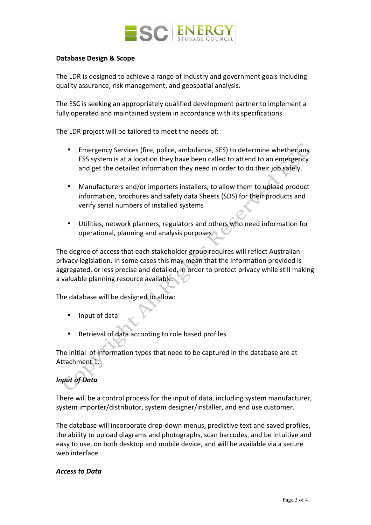

## **Database Design & Scope**

The LDR is designed to achieve a range of industry and government goals including quality assurance, risk management, and geospatial analysis.

The ESC is seeking an appropriately qualified development partner to implement a fully operated and maintained system in accordance with its specifications.

The LDR project will be tailored to meet the needs of:

- Emergency Services (fire, police, ambulance, SES) to determine whether any ESS system is at a location they have been called to attend to an emergency and get the detailed information they need in order to do their job safely.
- Manufacturers and/or importers installers, to allow them to upload product information, brochures and safety data Sheets (SDS) for their products and verify serial numbers of installed systems
- Utilities, network planners, regulators and others who need information for operational, planning and analysis purposes.

The degree of access that each stakeholder group requires will reflect Australian privacy legislation. In some cases this may mean that the information provided is aggregated, or less precise and detailed, in order to protect privacy while still making a valuable planning resource available.

The database will be designed to allow:

- Input of data
- Retrieval of data according to role based profiles

The initial of information types that need to be captured in the database are at Attachment 1.

# *Input of Data*

There will be a control process for the input of data, including system manufacturer, system importer/distributor, system designer/installer, and end use customer.

The database will incorporate drop-down menus, predictive text and saved profiles, the ability to upload diagrams and photographs, scan barcodes, and be intuitive and easy to use, on both desktop and mobile device, and will be available via a secure web interface.

#### *Access to Data*